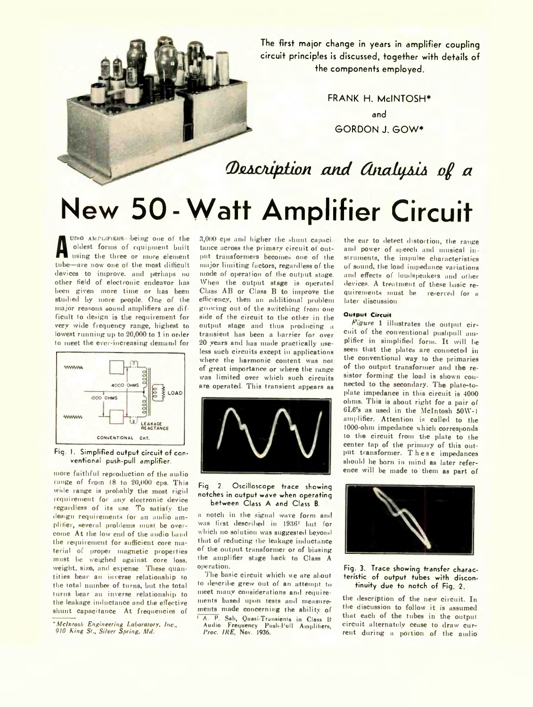The first major change in years in amplifier coupling circuit principles is discussed, together with details of the components employed.

> FRANK H. MclNTOSH\* and GORDON J. GOW\*

Description and Analysis of a

# **New 5 0 - Watt Amplifier Circuit**

**A** using the three or more element udio amplifiers -being one of the oldest forms of equipment built using the three or more element devices to improve, and perhaps no other field of electronic endeavor has been given more time or has been studied by more people. One of the major reasons sound amplifiers are difficult to design is the requirement for very wide frequency range, highest to lowest running up to 20,000 to 1 in order to meet the ever-increasing demand for



Fig. I. Simplified output circuit of conventional push-pull amplifier.

more faithful reproduction of the audio range of from 18 to 20,000 cps. This wide range is probably the most rigid requirement for any electronic device regardless of its use. To satisfy the design requirements for an audio amplifier, several problems must be overcome. At the low end of the audio band the requirement for sufficient core material of proper magnetic properties must be weighed against core loss. weight, size, and expense. These quantities bear an inverse relationship to the total number of turns, but the total turns bear an inverse relationship to the leakage inductance and the effective shunt capacitance. At frequencies of

3,000 cps and higher the shunt capacitance across the primary circuit of output transformers becomes one of the major limiting factors, regardless of the mode of operation of the output stage. When the output stage is operated Class AB or Class B to improve the efficiency, then an additional problem growing out of the switching from one side of the circuit to the other in the output stage and thus producing a transient has been a barrier for over 20 years and has made practically useless such circuits except in applications where the harmonic content was not of great importance or where the range was limited over which such circuits are operated. This transient appears as



### Fig. 2. Oscilloscope trace showing notches in output wave when operating between Class A and Class B.

a notch in the signal wave form and was first described in 1936\* but for which no solution was suggested beyond that of reducing the leakage inductance of the output transformer or of biasing the amplifier stage hack to Class A operation.

'The basic circuit which we are about to describe grew out of an attempt to meet many considerations and requirements based upon tests and measurements made concerning the ability of 1 A. P. Sah, Quasi-Transients in Class B Audio Frequency Push-Pull Amplifiers, *l\* roc. I HE,* Nov. 1936.

the ear to detect distortion, the range and power of speech and musical in struments, the impulse characteristics of sound, the load impedance variations and effects of loudspeakers and other devices. A treatment of these basic requirements must be reserved for a later discussion.

# **Output Circuit**

*Figure* 1 illustrates the output circuit of the conventional pushpull amplifier in simplified form. It will he seen that the plates are connected in the conventional way to the primaries of the output transformer and the resistor forming the load is shown connected to the secondary. The plate-toplate impedance in this circuit is 4000 ohms. This is about right for a pair of 6L6's as used in the McIntosh 50W-1 amplifier. Attention is called to the 1000-ohm impedance which corresponds to the circuit from the plate to the center tap of the primary of this output transformer. These impedances should he born in mind as later reference will be made to them as part of



## Fig. 3. Trace showing transfer characteristic of output tubes with discontinuity due to notch of Fig. 2.

the description of the new circuit. In the discussion to follow it is assumed that each of the tubes in the output circuit alternately cease to draw cur rent during a portion of the audio

*<sup>\*</sup> McIntosh Engineering Laboratory, Inc.,* 910 King St., Silver Spring, Md.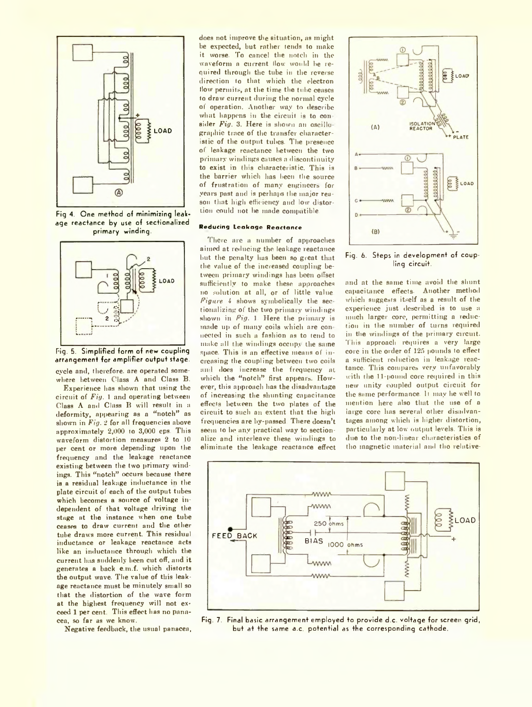

Fig 4, One method of minimizing leakage reactance by use of sectionalized primary winding.



# Fig, 5, Simplified form of new coupling arrangement for amplifier output stage.

cycle and, therefore, are operated somewhere between Class A and Class B.

Experience has shown that using the circuit of *Fig.* 1 and operating between Class A and Class B will result in a deformity, appearing as a "notch" as shown in *Fig.* 2 for all frequencies above approximately 2,000 to 3,000 eps. This waveform distortion measures 2 to 10 per cent or more depending upon the frequency and the leakage reactance existing between the two primary windings. This "notch" occurs because there is a residual leakage inductance in the plate circuit of each of the output tubes which becomes a source of voltage independent of that voltage driving the stage at the instance when one tube ceases to draw current and the other tube draws more current. This residual inductance or leakage reactance acts like an inductance through which the current has suddenly been cut off, and it generates a back e.m.f. which distorts the output wave. The value of this leakage reactance must be minutely small so that the distortion of the wave form at the highest frequency will not exceed 1 per cent. This effect has no panacea, so far as we know.

Negative feedback, the usual panacea,

does not improve the situation, as might be expected, but rather tends to make it worse. To cancel the notch in the waveform a current flow would be required through the tube in the reverse direction to that which the electron How permits, at the time the tube ceases to draw current during the normal cycle of operation. Another way to describe what happens in the circuit is to consider *Fig.* 3. Here is shown an oscillographie trace of the transfer characteristic of the output tubes. The presence ot leakage reactance between the two primary windings causes a discontinuity to exist in this characteristic. This is the barrier which has been the source of frustration of many engineers for years past and is perhaps the major reason that high efficiency and low distortion could not he made compatible.

## **Reducing Leakage Reactance**

There are a number of approaches aimed at reducing the leakage reactance but the penalty has been so great that the value of the increased coupling between primary windings has been offset sufficiently to make these approaches no solution at all, or of little value. Figure 4 shows symbolically the sectionalizing of the two primary windings shown in *Fig.* 1. Here the primary is made up of many coils which are con nected in such a fashion as to tend to make all the windings occupy the same space. This is an effective means of increasing the coupling between two coils and does increase the frequency at which the "notch" first appears. However, this approach has the disadvantage of increasing the shunting capacitance effects between the two plates of the eireuit to such an extent that the high frequencies are by-passed. There doesn't seem to be any practical way to sectionalize and interleave these windings to eliminate the leakage reactance effect



### Fig. 6. Steps in development of coupling circuit.

and at the same time avoid the shunt capacitance effects- Another method which suggests itself as a result of the experience just described is to use a much larger core, permitting a reduction in the number of turns required in the windings of the primary circuit. This approach requires a very large core in the order of 125 pounds to effect a sufficient reduction in leakage reactance. This compares very unfavorably with the 11-pound core required in this new unity coupled output circuit for the same performance. It may he well to mention here also that the use of a iarge core has several other disadvantages among which is higher distortion, particularly at low output levels. This is due to the non-linear characteristics of the magnetic material and the relative-



Fig. 7. Final basic arrangement employed to provide d.c. voltage for screen grid, but at the same a.c. potential as the corresponding cathode.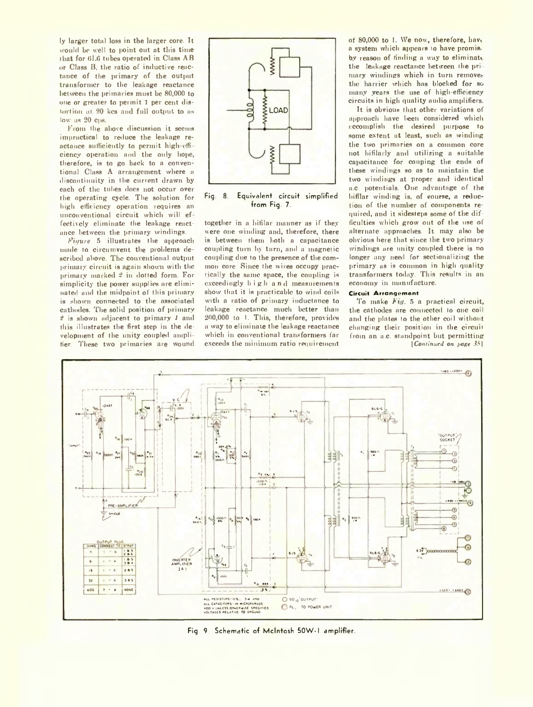ly larger total loss in the larger core. It would be well to point out at this time that for 61,6 tubes operated in Class AB or Class B, the ratio of inductive reactance of the primary of the output transformer to the leakage reactance bet ween the primaries must be 80,000 to one or greater to permit 1 per cent distortion at 20 kes and full output to as low as 20 cps.

From the above discussion it seems impractical to reduce the leakage reactance sufficiently to permit high-effi ciency operation and the only hope, therefore, is to go back to a conventional Class A arrangement where a discontinuity in the current drawn by each of the tubes does not occur over the operating cycle. The solution for high efficiency operation requires an unconventional circuit which will ef fectivcly eliminate the leakage reactance between the primary windings.

*Piqure* 5 illustrates the approach made to circumvent the problems described above. The conventional output primary circuit is again shown with the primary marked *2* in dotted form. For simplicity the power supplies are eliminated and the midpoint of this primary is shown connected to the associated cathodes. The solid position of primary *2* is shown adjacent to primary *1* and this illustrates the first step in the development of the unity coupled amplifier. These two primaries are wound



Fig. 8. Equivalent circuit simplified from Fig. 7.

together in a bitilar manner as if they were one winding and, therefore, there is between them both a capacitance coupling turn by turn, and a magnetic coupling due to the presence of the common core. Since the wires occupy practically the same space, the coupling is exceedingly high and measurements show that it is practicable to wind coils with a ratio of primary inductance to leakage reactance much better than 200,000 to 1. This, therefore, provides a way to eliminate the leakage reactance which in conventional transformers far exceeds the minimum ratio requirement

of 80,000 to 1. We now, therefore, have a system which appears to have promis. by reason of finding a way to eliminate the leakage reactance between the pri mary windings which in turn removethe harrier which has blocked for so many years the use of high-efficiency circuits in high quality audio amplifiers.

It is obvious that other variations of approach have been considered which accomplish the desired purpose to some extent at least, such as winding the two primaries on a common core not hifilarly and utilizing a suitable capacitance for couping the ends of these windings so as to maintain the two windings at proper and identical a.c. potentials. One advantage of the bitilar winding is. of course, a reduction of the number of components required, and it sidesteps some of the difficulties which grow out of the use of alternate approaches. It may also be obvious here that since the two primary windings are unity coupled there is no longer any need for sectionalizing the primary as is common in high quality transformers today. This results in an economy in manufacture.

#### **Circuit Arrangement**

To make *Fig.* 5 a practical circuit, the cathodes are connected to one coil and the plates to the other coil without changing their position in the circuit from an a.c. standpoint but permitting *[Continued on page 35*1



Fig. 9. Schematic of McIntosh 50W-I amplifier.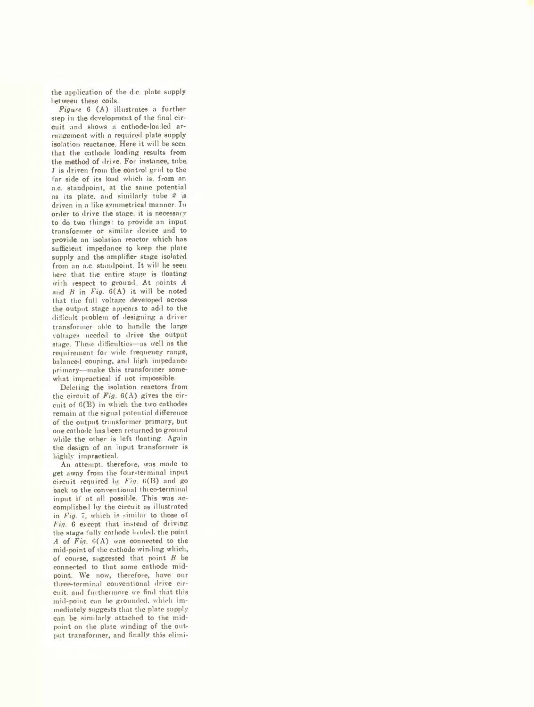the application of the d.c. plate supply between these coils.

*Figure* 6 (A) illustrates a further step in the development of the final circuit and shows a cathode-loaded arrat gement with a required plate supply isolation reactance. Here it will be seen that the cathode loading results from the method of drive. For instance, tube *1* is driven from the control grid to the tar side of its load which is, from an a.c. standpoint, at the same potential as its plate, and similarly tube 2 is driven in a like symmetrical manner. In order to drive the stage, it is necessary to do two things: to provide an input transformer or similar device and to provide an isolation reactor which has sufficient impedance to keep the plate supply and the amplifier stage isolated from an a.c. standpoint. It will he seen here that the entire stage is floating with respect to ground At points *A* and  $B$  in  $Fig. 6(A)$  it will be noted that the full voltage developed across the output stage appears to add to the difficult problem of designing a driver transformer able to handle the large voltages needed to drive the output stage. These difficulties—as well as the requirement for wide frequency range, balanced couping, and high impedance primary—make this transformer somewhat impractical if not impossible.

Deleting the isolation reactors from the circuit of  $Fig. 6(A)$  gives the circuit of 6(B) in which the two cathodes remain at the signal potential difference of the output transformer primary, but one cathode has been returned to ground while the other is left floating. Again the design of an input transformer is highly impractical.

An attempt, therefore, was made to get away from the four-terminal input circuit required by  $Fig. 6(B)$  and go back to the conventional three-terminal input if at all possible. This was ac complished by the circuit as illustrated in *Fig.* 7, which is similar to those of *Fig.* 6 except that instead of driving the stage fully cathode loaded, the point A of  $Fig. 6(A)$  was connected to the mid-point of the cathode winding which, of course, suggested that point *B* be connected to that same cathode midpoint. We now, therefore, have our three-terminal conventional drive circuit. and furthermore we find that this mid-point can he grounded, which immediately suggests that the plate supply can be similarly attached to the midpoint on the plate winding of the output transformer, and finally this elimi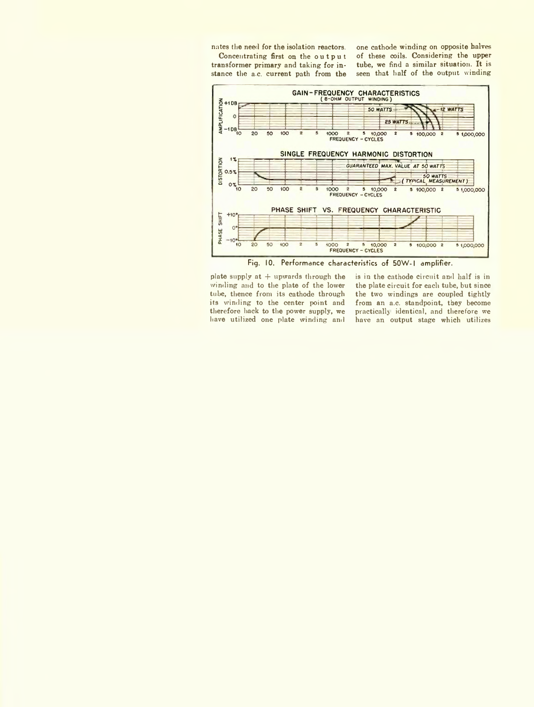nates the need for the isolation reactors. Concentrating first on the output transformer primary and taking for instance the a.c. current path from the one cathode winding on opposite halves of these coils. Considering the upper tube, we find a similar situation. It is seen that half of the output winding



plate supply at  $+$  upwards through the winding and to the plate of the lower tube, thence from its cathode through its winding to the center point and therefore hack to the power supply, we have utilized one plate winding and is in the cathode circuit and half is in the plate circuit for each tube, but since the two windings are coupled tightly from an a.c. standpoint, they become practically identical, and therefore we have an output stage which utilizes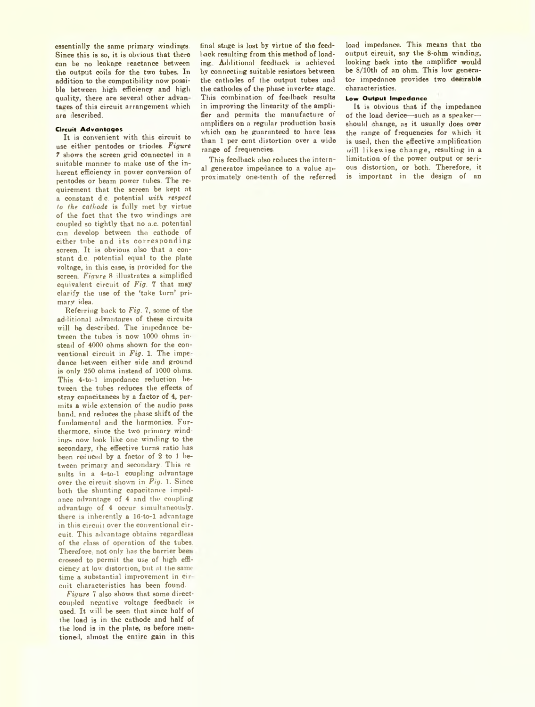essentially the same primary windings. Since this is so, it is obvious that there can be no leakage reactance between the output coils for the two tubes. In addition to the compatibility now possible between high efficiency and high quality, there are several other advantages of this circuit arrangement which are described.

## **Circuit Advantages**

It is convenient with this circuit to use either pentodes or triodes. *Figure 7* shows the screen grid connected in a suitable manner to make use of the inherent efficiency in power conversion of pentodes or beam power tubes. The requirement that the screen be kept at a constant d.c. potential *with respect lo the cathode* is fully met by virtue of the fact that the two windings are coupled so tightly that no a.c. potential can develop between the cathode of either tube and its corresponding screen. It is obvious also that a constant d.c. potential equal to the plate voltage, in this case, is provided for the screen. *Figure* 8 illustrates a simplified equivalent circuit of *Fig. 7* that may clarify the use of the 'take turn' primary idea.

Referring back to *Fig.* 7, some of the additional advantages of these circuits will be described. The impedance between the tubes is now 1000 ohms instead of 4000 ohms shown for the conventional circuit in *Fig.* 1. The impe dance between either side and ground is only 250 ohms instead of 1000 ohms. This 4-to-1 impedance reduction between the tubes reduces the effects of stray capacitances by a factor of 4, permits a wide extension of the audio pass band, and reduces the phase shift of the fundamental and the harmonics. Furthermore, since the two primary windings now look like one winding to the secondary, the effective turns ratio has been reduced by a factor of 2 to 1 between primary and secondary. This results in a 4-to-1 coupling advantage over the circuit shown in *Fig.* 1. Since both the shunting capacitance impedance advantage of 4 and the coupling advantage of 4 occur simultaneously. there is inherently a 16-to-l advantage in this circuit over the conventional circuit. This advantage obtains regardless of the class of operation of the tubes. Therefore, not only has the barrier beei crossed to permit the use of high efficiency at low distortion, but at the same time a substantial improvement in cir cuit characteristics has been found.

*Figure* 7 also shows that some directcoupled negative voltage feedback is used. It will be seen that since half of the load is in the cathode and half of the load is in the plate, as before mentioned, almost the entire gain in this

final stage is lost by virtue of the feedback resulting from this method of loading Additional feedback is achieved by connecting suitable resistors between the cathodes of the output tubes and the cathodes of the phase inverter stage. This combination of feedback results in improving the linearity of the amplifier and permits the manufacture of amplifiers on a regular production basis which can be guaranteed to have less than 1 per cent distortion over a wide range of frequencies.

This feedback also reduces the internal generator impedance to a value approximately one tenth of the referred

load impedance. This means that the output circuit, say the 8-ohm winding, looking back into the amplifier would be 8/10th of an ohm. This low generator impedance provides two desirable characteristics.

#### **Low Output Impedance**

It is obvious that if the impedance of the load device—such as a speakershould change, as it usually does over the range of frequencies for which it is used, then the effective amplification will likew ise change, resulting in a limitation of the power output or serious distortion, or both. Therefore, it is important in the design of an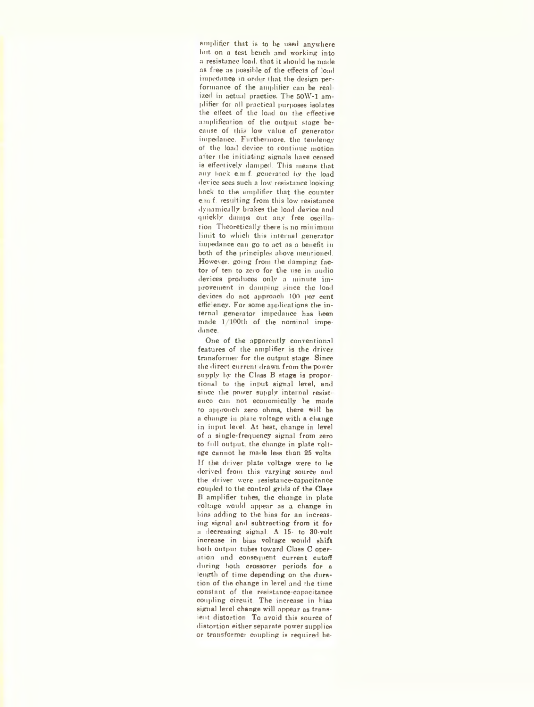amplifier that is to be used anywhere but on a test bench and working into a resistance load, that it should be made as free as possible of the effects of load impedance in order that the design performance of the amplifier can be realized in actual practice The 50W-1 amplifier for all practical purposes isolates the effect of the load on the effective amplification of the output stage because of this low value of generator impedance. Furthermore, the tendency of the load device to continue motion after the initiating signals have ceased is effectively damped. This means that any hack e.m.f. generated by the load device sees such a low resistance looking back to the amplifier that the counter e.m.f. resulting from this low resistance dynamically brakes the load device and quickly damps out any free oscillation. Theoretically there is no minimum limit to which this internal generator impedance can go to act as a benefit in both of the principles above mentioned. However, going from the damping factor of ten to zero for the use in audio devices produces only a minute improvement in damping since the load devices do not approach 100 per cent efficiency. For some applications the internal generator impedance has been made 1/100th of the nominal impedance.

One of the apparently conventional features of the amplifier is the driver transformer for the output stage. Since the direct current drawn from the power supply by the Class B stage is proportional to the input signal level, and since the power supply internal resistance can not economically be made to approach zero ohms, there will be a change in plate voltage with a change in input level. At best, change in level of a single-frequency signal from zero to full output, the change in plate voltage cannot he made less than 25 volts. If the driver plate voltage were to be derived from this varying source and the driver were resistance-capacitance coupled to the control grids of the Class B amplifier tubes, the change in plate voltage would appear as a change in bias adding to the bias for an increasing signal and subtracting from it for a decreasing signal. A 15- to 30-volt increase in bias voltage would shift both output tubes toward Class C operation and consequent current cutoff during both crossover periods for a length of time depending on the duration of the change in level and the time constant of the resistance-capacitance coupling circuit. The increase in bias signal level change will appear as transient distortion. To avoid this source of distortion either separate power supplies or transformer coupling is required be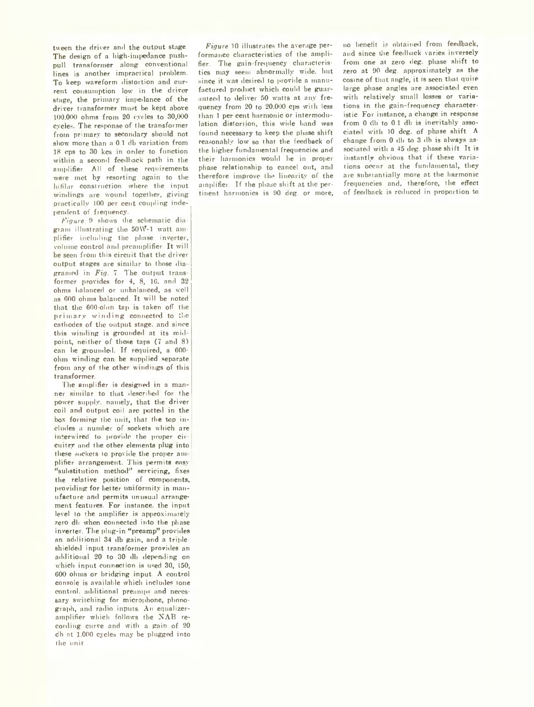tween the driver and the output stage. The design of a high-impedance pushpull transformer along conventional lines is another impractical problem. To keep waveform distortion and current consumption low in the driver stage, the primary impedance of the driver transformer must be kept above 100,000 ohms from 20 cycles to 30,000 cycles. The response of the transformer from primary to secondary should not show more than a 0.1 db variation from 18 cps to 30 kcs in order to function within a seeond feedback path in the amplifier. All of these requirements were met by resorting again to the hifilar construction where the input windings are wound together, giving practically 100 per cent coupling independent of frequency.

*Figure* 0 shows the schematic diagram illustrating the 50\\T-1 watt amplifier including the phase inverter, volume control and preamplifier. It will be seen from this circuit that the driver output stages are similar to those dia grained in *Fig.* 7. The output transformer provides for 4, 8, 16. and 32 ohms balanced or unbalanced, as well as 000 ohms balanced. It will be noted that the 600-olirn tap is taken off the primary winding connected to the cathodes of the output stage, and since this winding is grounded at its midpoint, neither of these taps (7 and 8) can be grounded. If required, a 600 ohm winding can be supplied separate from any of the other windings of this transformer.

The amplifier is designed in a manner similar to that described for the power supply, namely, that the driver coil and output coil are potted in the box forming the unit, that the top includes a number of sockets which are interwired to provide the proper circuitry and the other elements plug into these sockets to provide the proper amplifier arrangement. This permits easy "substitution method" servicing, fixes the relative position of components, providing for better uniformity in manufacture and permits unusual arrangement features. For instance, the input level to the amplifier is approximately zero dh when connected into the phase inverter. The plug-in "preamp" provides an additional 34 db gain, and a tripleshielded input transformer provides an additional 20 to 30 db depending on which input connection is used 30, 150, 600 ohms or bridging input. A control console is available which includes tone control, additional preamps and necessary switching for microphone, phonograph, and radio inputs. An equalizeramplifier which follows the NAB recording curve and with a gain of 20 db at 1.000 cycles may be plugged into the unit.

*Figure* 10 illustrates the average performance characteristics of the amplifier. The gain-frequency characteristics may seem abnormally wide, hut since it was desired to provide a manufactured product which could be guaranteed to deliver 50 watts at any frequency from 20 to 20.000 cps with less than 1 per cent harmonic or intermodulation distortion, this wide band was found necessary to keep the phase shift reasonably low so that the feedback of the higher fundamental frequencies and their harmonics would he in proper phase relationship to cancel out, and therefore improve the linearity of the amplifier. If the phase shift at the pertinent harmonics is 90 deg. or more,

no benefit is obtained from feedback, and since die feedback varies inversely from one at zero deg. phase shift to zero at 90 deg. approximately as the cosine of that angle, it is seen that quite large phase angles are associated even with relatively small losses or variations in the gain-frequency characteristic. For instance, a change in response from 0 db to 0.1 db is inevitably associated with 10 deg. of phase shift. A change from 0 db to 3 db is always associated with a 45 deg. phase shift. It is instantly obvious that if these variations occur at the fundamental, they are substantially more at the harmonic frequencies and, therefore, the effect of feedback is reduced in proportion to